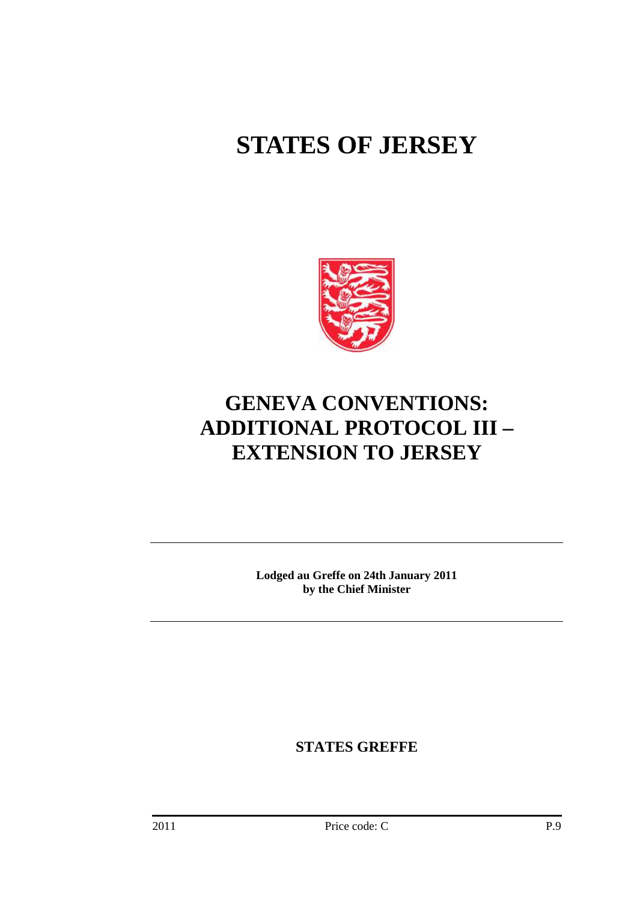# **STATES OF JERSEY**



# **GENEVA CONVENTIONS: ADDITIONAL PROTOCOL III – EXTENSION TO JERSEY**

**Lodged au Greffe on 24th January 2011 by the Chief Minister** 

**STATES GREFFE**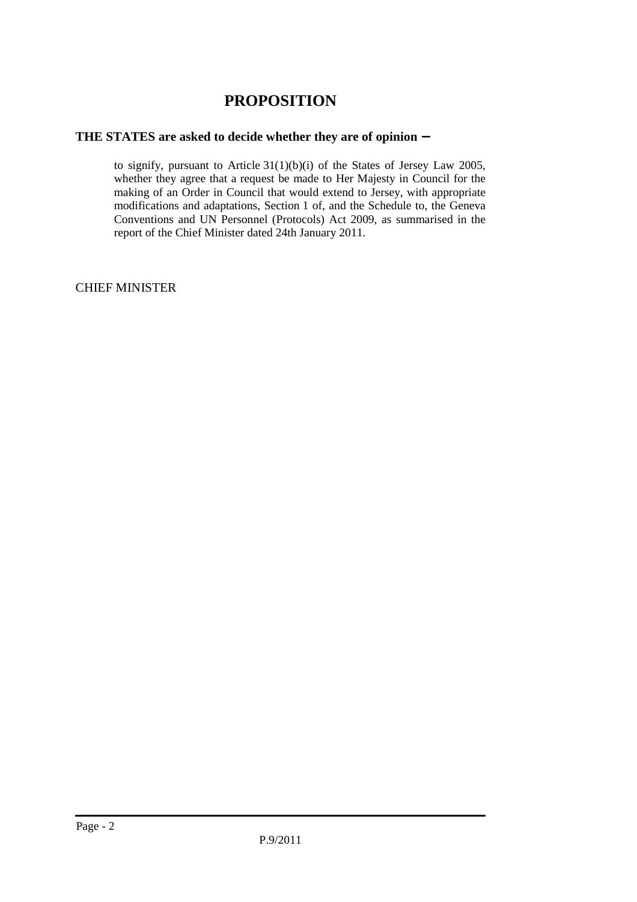# **PROPOSITION**

# **THE STATES are asked to decide whether they are of opinion** −

 to signify, pursuant to Article 31(1)(b)(i) of the States of Jersey Law 2005, whether they agree that a request be made to Her Majesty in Council for the making of an Order in Council that would extend to Jersey, with appropriate modifications and adaptations, Section 1 of, and the Schedule to, the Geneva Conventions and UN Personnel (Protocols) Act 2009, as summarised in the report of the Chief Minister dated 24th January 2011.

CHIEF MINISTER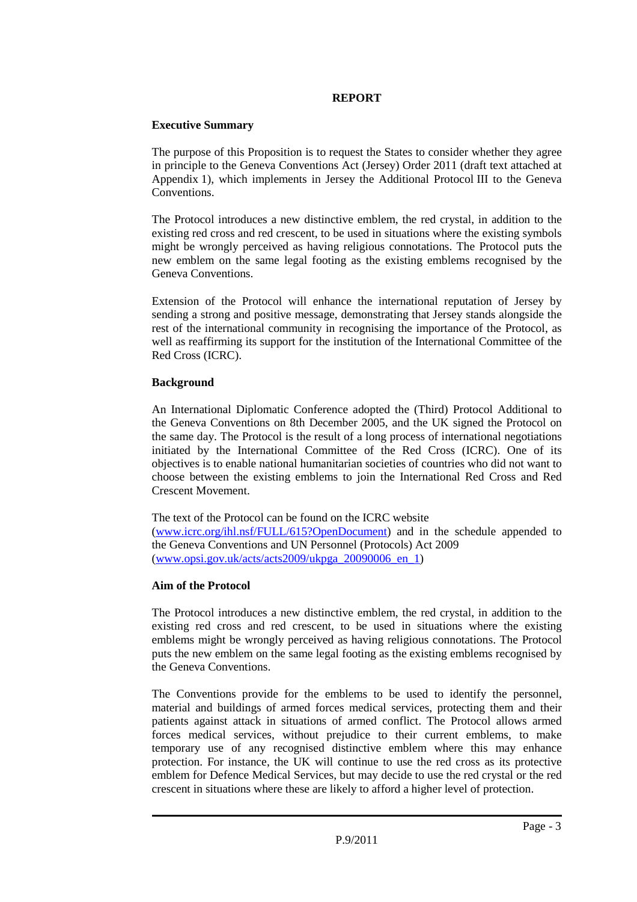# **REPORT**

## **Executive Summary**

The purpose of this Proposition is to request the States to consider whether they agree in principle to the Geneva Conventions Act (Jersey) Order 2011 (draft text attached at Appendix 1), which implements in Jersey the Additional Protocol III to the Geneva Conventions.

The Protocol introduces a new distinctive emblem, the red crystal, in addition to the existing red cross and red crescent, to be used in situations where the existing symbols might be wrongly perceived as having religious connotations. The Protocol puts the new emblem on the same legal footing as the existing emblems recognised by the Geneva Conventions.

Extension of the Protocol will enhance the international reputation of Jersey by sending a strong and positive message, demonstrating that Jersey stands alongside the rest of the international community in recognising the importance of the Protocol, as well as reaffirming its support for the institution of the International Committee of the Red Cross (ICRC).

# **Background**

An International Diplomatic Conference adopted the (Third) Protocol Additional to the Geneva Conventions on 8th December 2005, and the UK signed the Protocol on the same day. The Protocol is the result of a long process of international negotiations initiated by the International Committee of the Red Cross (ICRC). One of its objectives is to enable national humanitarian societies of countries who did not want to choose between the existing emblems to join the International Red Cross and Red Crescent Movement.

The text of the Protocol can be found on the ICRC website (www.icrc.org/ihl.nsf/FULL/615?OpenDocument) and in the schedule appended to the Geneva Conventions and UN Personnel (Protocols) Act 2009  $(www.opsi.gov.uk/acts/acts2009/ukpga_20090006en_1)$ 

# **Aim of the Protocol**

The Protocol introduces a new distinctive emblem, the red crystal, in addition to the existing red cross and red crescent, to be used in situations where the existing emblems might be wrongly perceived as having religious connotations. The Protocol puts the new emblem on the same legal footing as the existing emblems recognised by the Geneva Conventions.

The Conventions provide for the emblems to be used to identify the personnel, material and buildings of armed forces medical services, protecting them and their patients against attack in situations of armed conflict. The Protocol allows armed forces medical services, without prejudice to their current emblems, to make temporary use of any recognised distinctive emblem where this may enhance protection. For instance, the UK will continue to use the red cross as its protective emblem for Defence Medical Services, but may decide to use the red crystal or the red crescent in situations where these are likely to afford a higher level of protection.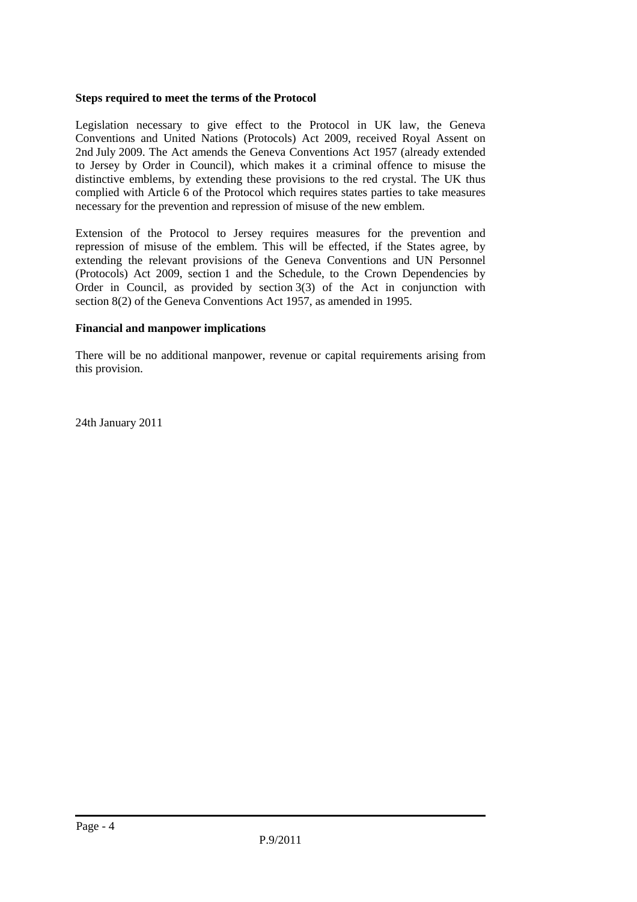## **Steps required to meet the terms of the Protocol**

Legislation necessary to give effect to the Protocol in UK law, the Geneva Conventions and United Nations (Protocols) Act 2009, received Royal Assent on 2nd July 2009. The Act amends the Geneva Conventions Act 1957 (already extended to Jersey by Order in Council), which makes it a criminal offence to misuse the distinctive emblems, by extending these provisions to the red crystal. The UK thus complied with Article 6 of the Protocol which requires states parties to take measures necessary for the prevention and repression of misuse of the new emblem.

Extension of the Protocol to Jersey requires measures for the prevention and repression of misuse of the emblem. This will be effected, if the States agree, by extending the relevant provisions of the Geneva Conventions and UN Personnel (Protocols) Act 2009, section 1 and the Schedule, to the Crown Dependencies by Order in Council, as provided by section 3(3) of the Act in conjunction with section 8(2) of the Geneva Conventions Act 1957, as amended in 1995.

## **Financial and manpower implications**

There will be no additional manpower, revenue or capital requirements arising from this provision.

24th January 2011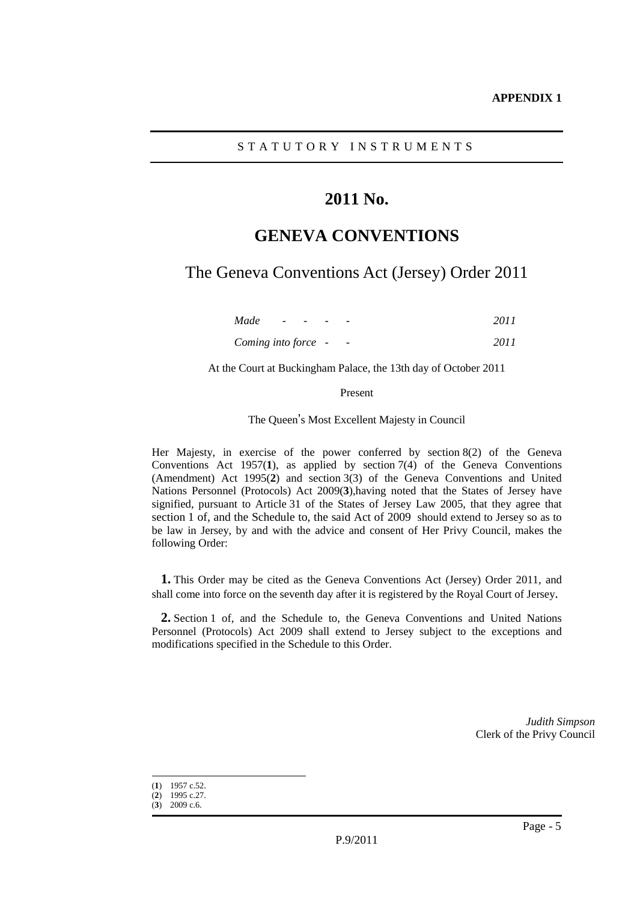# **2011 No.**

# **GENEVA CONVENTIONS**

The Geneva Conventions Act (Jersey) Order 2011

| Made                | $\frac{1}{2} \left( \frac{1}{2} \right) \left( \frac{1}{2} \right) \left( \frac{1}{2} \right) \left( \frac{1}{2} \right)$ | $\overline{\phantom{0}}$ | -                        | 2011 |
|---------------------|---------------------------------------------------------------------------------------------------------------------------|--------------------------|--------------------------|------|
| Coming into force - |                                                                                                                           |                          | $\overline{\phantom{a}}$ | 2011 |

At the Court at Buckingham Palace, the 13th day of October 2011

Present

The Queen's Most Excellent Majesty in Council

Her Majesty, in exercise of the power conferred by section 8(2) of the Geneva Conventions Act 1957(**1**), as applied by section 7(4) of the Geneva Conventions (Amendment) Act 1995(**2**) and section 3(3) of the Geneva Conventions and United Nations Personnel (Protocols) Act 2009(**3**),having noted that the States of Jersey have signified, pursuant to Article 31 of the States of Jersey Law 2005, that they agree that section 1 of, and the Schedule to, the said Act of 2009 should extend to Jersey so as to be law in Jersey, by and with the advice and consent of Her Privy Council, makes the following Order:

**1.** This Order may be cited as the Geneva Conventions Act (Jersey) Order 2011, and shall come into force on the seventh day after it is registered by the Royal Court of Jersey.

**2.** Section 1 of, and the Schedule to, the Geneva Conventions and United Nations Personnel (Protocols) Act 2009 shall extend to Jersey subject to the exceptions and modifications specified in the Schedule to this Order.

> *Judith Simpson* Clerk of the Privy Council

 $\overline{a}$ (**1**) 1957 c.52.

<sup>(</sup>**2**) 1995 c.27.

<sup>(</sup>**3**) 2009 c.6.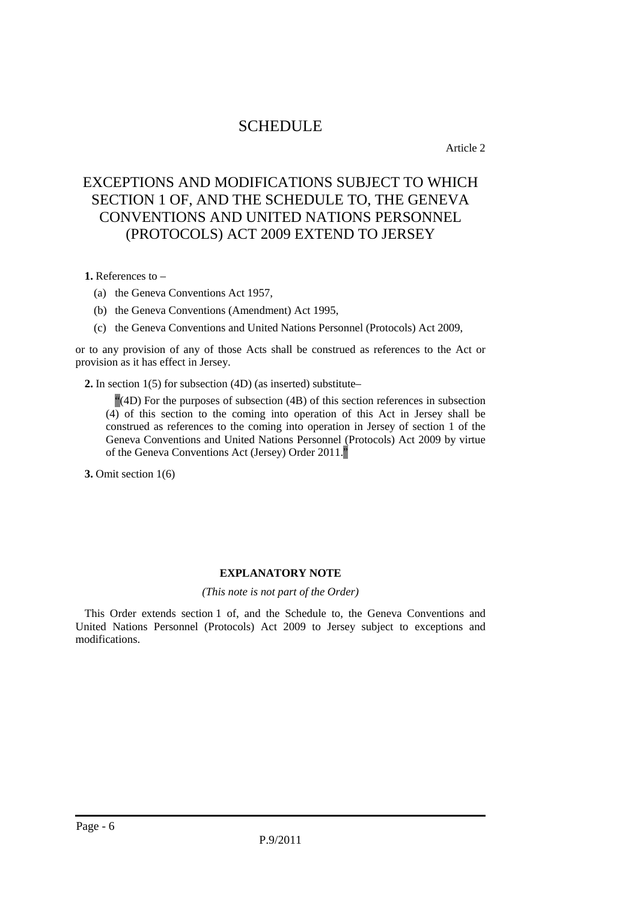# **SCHEDULE**

Article 2

# EXCEPTIONS AND MODIFICATIONS SUBJECT TO WHICH SECTION 1 OF, AND THE SCHEDULE TO, THE GENEVA CONVENTIONS AND UNITED NATIONS PERSONNEL (PROTOCOLS) ACT 2009 EXTEND TO JERSEY

**1.** References to –

- (a) the Geneva Conventions Act 1957,
- (b) the Geneva Conventions (Amendment) Act 1995,
- (c) the Geneva Conventions and United Nations Personnel (Protocols) Act 2009,

or to any provision of any of those Acts shall be construed as references to the Act or provision as it has effect in Jersey.

**2.** In section 1(5) for subsection (4D) (as inserted) substitute–

"(4D) For the purposes of subsection (4B) of this section references in subsection (4) of this section to the coming into operation of this Act in Jersey shall be construed as references to the coming into operation in Jersey of section 1 of the Geneva Conventions and United Nations Personnel (Protocols) Act 2009 by virtue of the Geneva Conventions Act (Jersey) Order 2011."

**3.** Omit section 1(6)

# **EXPLANATORY NOTE**

### *(This note is not part of the Order)*

This Order extends section 1 of, and the Schedule to, the Geneva Conventions and United Nations Personnel (Protocols) Act 2009 to Jersey subject to exceptions and modifications.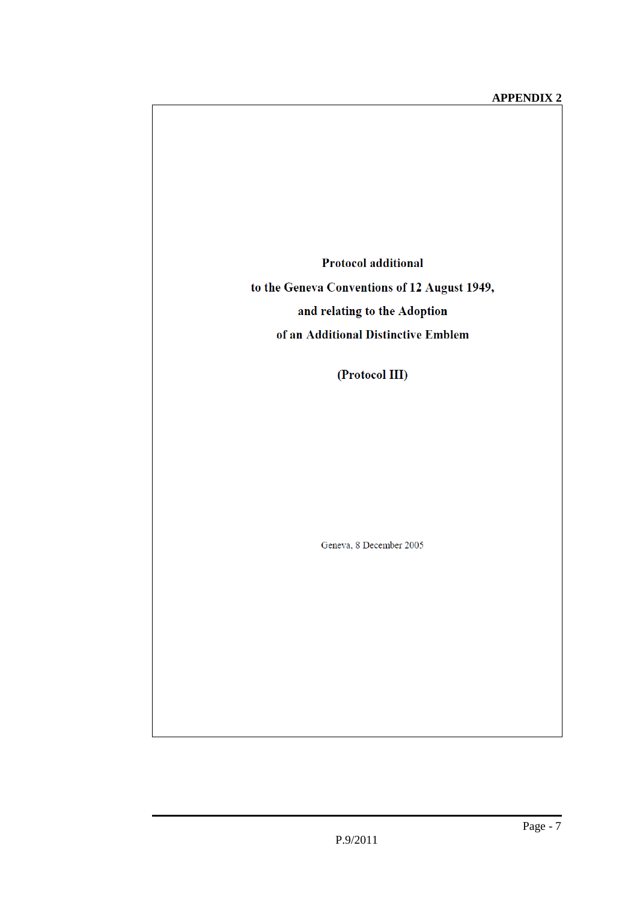**Protocol additional** 

to the Geneva Conventions of 12 August 1949, and relating to the Adoption of an Additional Distinctive Emblem

(Protocol III)

Geneva, 8 December 2005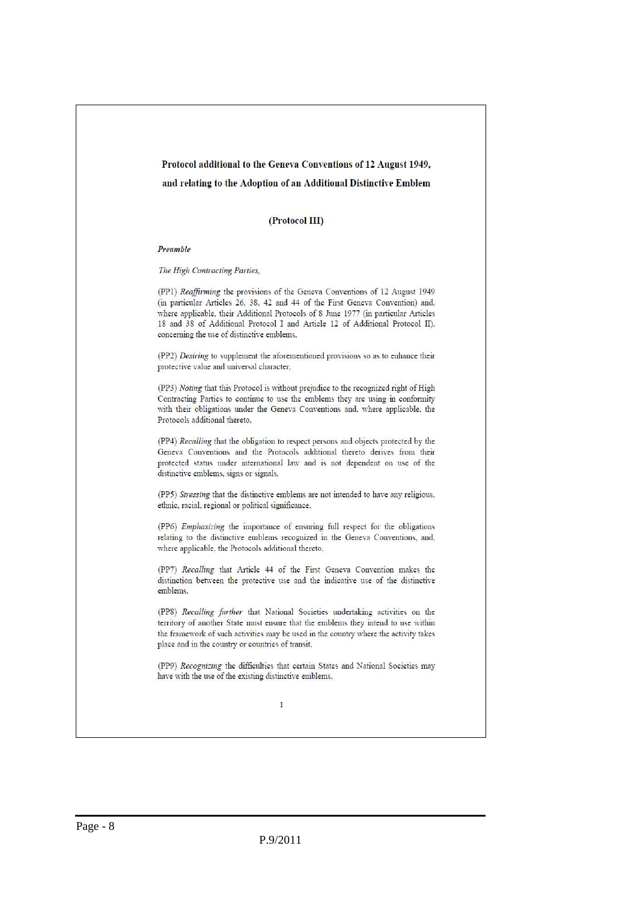#### Protocol additional to the Geneva Conventions of 12 August 1949,

#### and relating to the Adoption of an Additional Distinctive Emblem

#### (Protocol III)

#### Preamble

#### The High Contracting Parties,

(PP1) Reaffirming the provisions of the Geneva Conventions of 12 August 1949 (in particular Articles 26, 38, 42 and 44 of the First Geneva Convention) and, where applicable, their Additional Protocols of 8 June 1977 (in particular Articles 18 and 38 of Additional Protocol I and Article 12 of Additional Protocol II), concerning the use of distinctive emblems,

(PP2) Desiring to supplement the aforementioned provisions so as to enhance their protective value and universal character,

(PP3) Noting that this Protocol is without prejudice to the recognized right of High Contracting Parties to continue to use the emblems they are using in conformity with their obligations under the Geneva Conventions and, where applicable, the Protocols additional thereto.

(PP4) Recalling that the obligation to respect persons and objects protected by the Geneva Conventions and the Protocols additional thereto derives from their protected status under international law and is not dependent on use of the distinctive emblems, signs or signals,

(PP5) Stressing that the distinctive emblems are not intended to have any religious, ethnic, racial, regional or political significance,

(PP6) Emphasizing the importance of ensuring full respect for the obligations relating to the distinctive emblems recognized in the Geneva Conventions, and, where applicable, the Protocols additional thereto,

(PP7) Recalling that Article 44 of the First Geneva Convention makes the distinction between the protective use and the indicative use of the distinctive emblems.

(PP8) Recalling further that National Societies undertaking activities on the territory of another State must ensure that the emblems they intend to use within the framework of such activities may be used in the country where the activity takes place and in the country or countries of transit,

(PP9) Recognizing the difficulties that certain States and National Societies may have with the use of the existing distinctive emblems,

 $\mathbf{1}$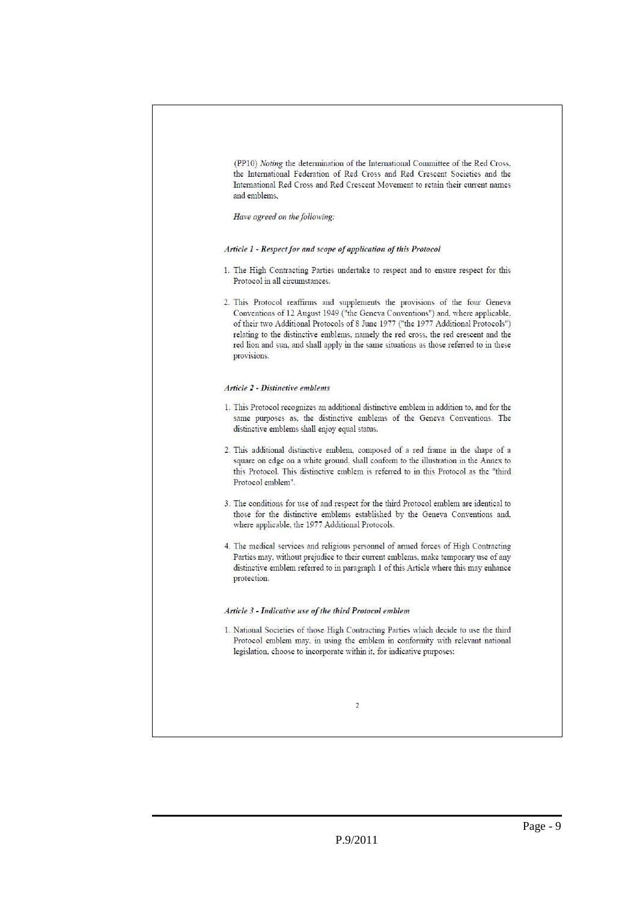(PP10) Noting the determination of the International Committee of the Red Cross. the International Federation of Red Cross and Red Crescent Societies and the International Red Cross and Red Crescent Movement to retain their current names and emblems.

Have agreed on the following:

Article 1 - Respect for and scope of application of this Protocol

- 1. The High Contracting Parties undertake to respect and to ensure respect for this Protocol in all circumstances.
- 2. This Protocol reaffirms and supplements the provisions of the four Geneva Conventions of 12 August 1949 ("the Geneva Conventions") and, where applicable, of their two Additional Protocols of 8 June 1977 ("the 1977 Additional Protocols") relating to the distinctive emblems, namely the red cross, the red crescent and the red lion and sun, and shall apply in the same situations as those referred to in these provisions.

#### Article 2 - Distinctive emblems

- 1. This Protocol recognizes an additional distinctive emblem in addition to, and for the same purposes as, the distinctive emblems of the Geneva Conventions. The distinctive emblems shall enjoy equal status.
- 2. This additional distinctive emblem, composed of a red frame in the shape of a square on edge on a white ground, shall conform to the illustration in the Annex to this Protocol. This distinctive emblem is referred to in this Protocol as the "third Protocol emblem".
- 3. The conditions for use of and respect for the third Protocol emblem are identical to those for the distinctive emblems established by the Geneva Conventions and, where applicable, the 1977 Additional Protocols.
- 4. The medical services and religious personnel of armed forces of High Contracting Parties may, without prejudice to their current emblems, make temporary use of any distinctive emblem referred to in paragraph 1 of this Article where this may enhance protection.

#### Article 3 - Indicative use of the third Protocol emblem

1. National Societies of those High Contracting Parties which decide to use the third Protocol emblem may, in using the emblem in conformity with relevant national legislation, choose to incorporate within it, for indicative purposes:

 $\overline{2}$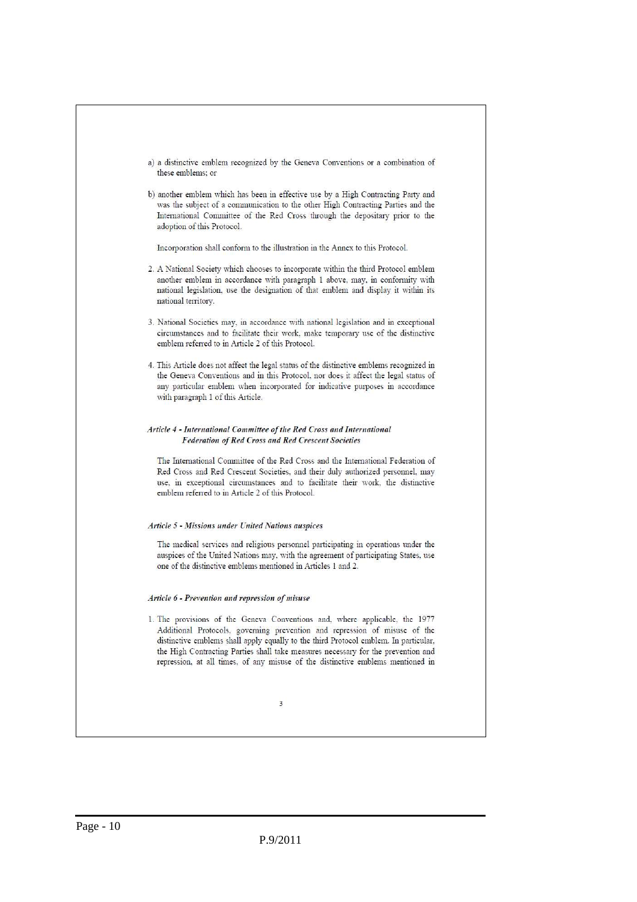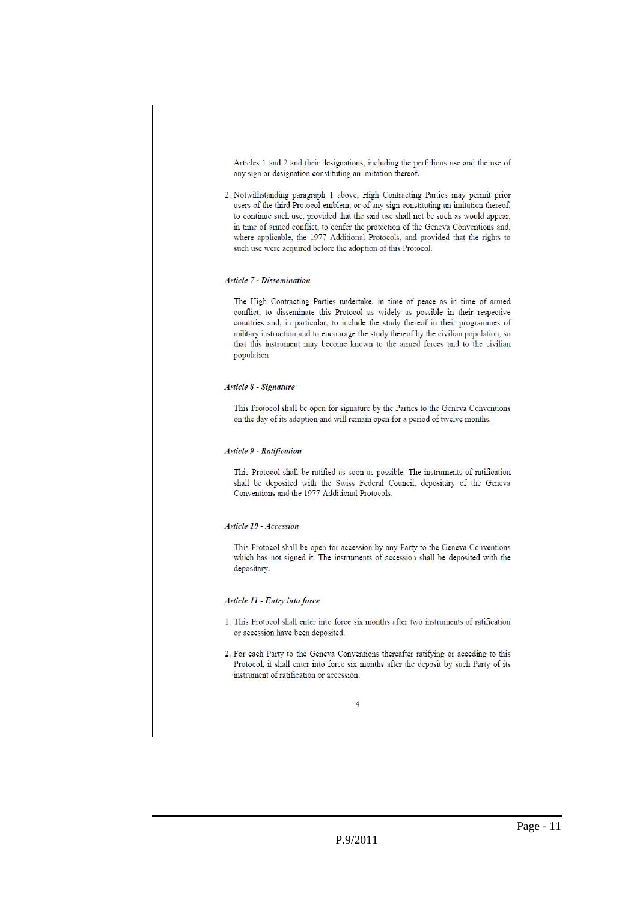Articles 1 and 2 and their designations, including the perfidious use and the use of any sign or designation constituting an imitation thereof.

2. Notwithstanding paragraph 1 above, High Contracting Parties may permit prior users of the third Protocol emblem, or of any sign constituting an imitation thereof, to continue such use, provided that the said use shall not be such as would appear, in time of armed conflict, to confer the protection of the Geneva Conventions and, where applicable, the 1977 Additional Protocols, and provided that the rights to such use were acquired before the adoption of this Protocol.

#### Article 7 - Dissemination

The High Contracting Parties undertake, in time of peace as in time of armed conflict, to disseminate this Protocol as widely as possible in their respective countries and, in particular, to include the study thereof in their programmes of military instruction and to encourage the study thereof by the civilian population, so that this instrument may become known to the armed forces and to the civilian population.

#### Article 8 - Signature

This Protocol shall be open for signature by the Parties to the Geneva Conventions on the day of its adoption and will remain open for a period of twelve months.

#### Article 9 - Ratification

This Protocol shall be ratified as soon as possible. The instruments of ratification shall be deposited with the Swiss Federal Council, depositary of the Geneva Conventions and the 1977 Additional Protocols.

#### Article 10 - Accession

This Protocol shall be open for accession by any Party to the Geneva Conventions which has not signed it. The instruments of accession shall be deposited with the depositary.

#### Article 11 - Entry into force

- 1. This Protocol shall enter into force six months after two instruments of ratification or accession have been deposited.
- 2. For each Party to the Geneva Conventions thereafter ratifying or acceding to this Protocol, it shall enter into force six months after the deposit by such Party of its instrument of ratification or accession.

 $\overline{4}$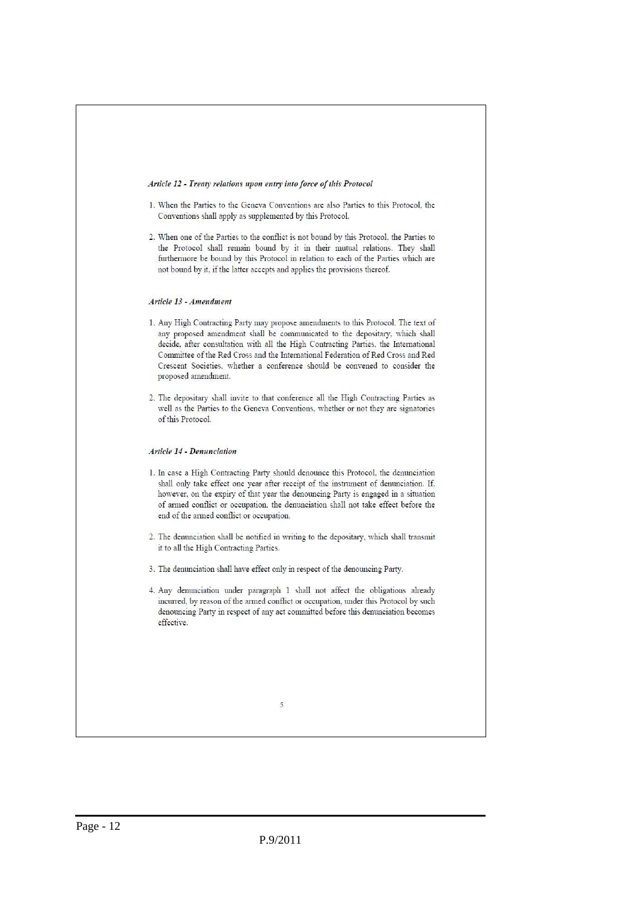#### Article 12 - Treaty relations upon entry into force of this Protocol

- 1. When the Parties to the Geneva Conventions are also Parties to this Protocol, the Conventions shall apply as supplemented by this Protocol.
- 2. When one of the Parties to the conflict is not bound by this Protocol, the Parties to the Protocol shall remain bound by it in their mutual relations. They shall furthermore be bound by this Protocol in relation to each of the Parties which are not bound by it, if the latter accepts and applies the provisions thereof.

#### Article 13 - Amendment

- 1. Any High Contracting Party may propose amendments to this Protocol. The text of any proposed amendment shall be communicated to the depositary, which shall decide, after consultation with all the High Contracting Parties, the International Committee of the Red Cross and the International Federation of Red Cross and Red Crescent Societies, whether a conference should be convened to consider the proposed amendment.
- 2. The depositary shall invite to that conference all the High Contracting Parties as well as the Parties to the Geneva Conventions, whether or not they are signatories of this Protocol.

#### **Article 14 - Denunciation**

- 1. In case a High Contracting Party should denounce this Protocol, the denunciation shall only take effect one year after receipt of the instrument of denunciation. If, however, on the expiry of that year the denouncing Party is engaged in a situation of armed conflict or occupation, the denunciation shall not take effect before the end of the armed conflict or occupation.
- 2. The denunciation shall be notified in writing to the depositary, which shall transmit it to all the High Contracting Parties.
- 3. The denunciation shall have effect only in respect of the denouncing Party.
- 4. Any denunciation under paragraph 1 shall not affect the obligations already incurred, by reason of the armed conflict or occupation, under this Protocol by such denouncing Party in respect of any act committed before this denunciation becomes effective.

<sup>5</sup>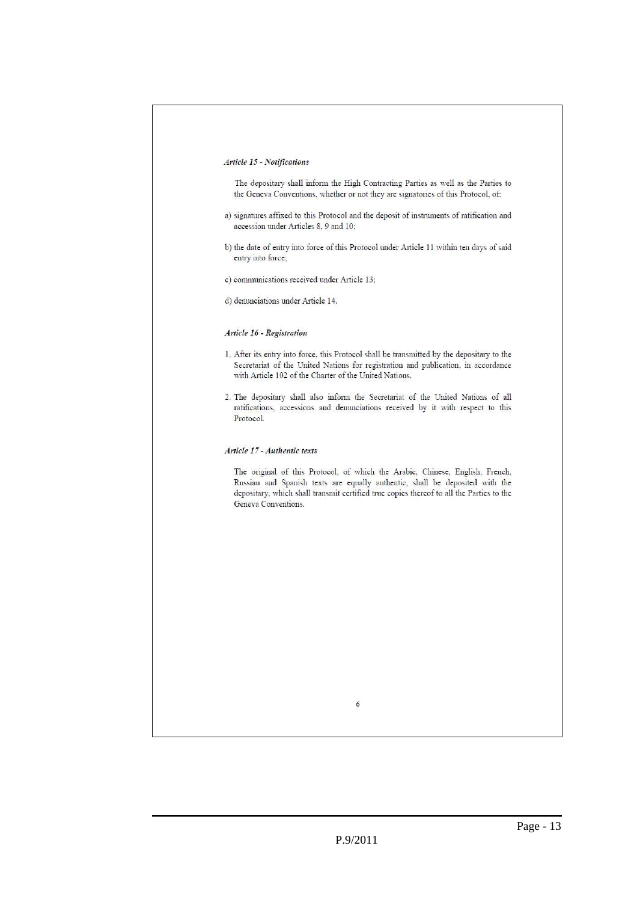#### Article 15 - Notifications

The depositary shall inform the High Contracting Parties as well as the Parties to the Geneva Conventions, whether or not they are signatories of this Protocol, of:

- a) signatures affixed to this Protocol and the deposit of instruments of ratification and accession under Articles 8, 9 and 10;
- b) the date of entry into force of this Protocol under Article 11 within ten days of said entry into force;
- c) communications received under Article 13;
- d) denunciations under Article 14.

#### Article 16 - Registration

- 1. After its entry into force, this Protocol shall be transmitted by the depositary to the Secretariat of the United Nations for registration and publication, in accordance with Article 102 of the Charter of the United Nations.
- 2. The depositary shall also inform the Secretariat of the United Nations of all ratifications, accessions and denunciations received by it with respect to this Protocol.

#### Article 17 - Authentic texts

The original of this Protocol, of which the Arabic, Chinese, English, French, Russian and Spanish texts are equally authentic, shall be deposited with the depositary, which shall transmit certified true copies thereof to all the Parties to the Geneva Conventions.

 $\delta$